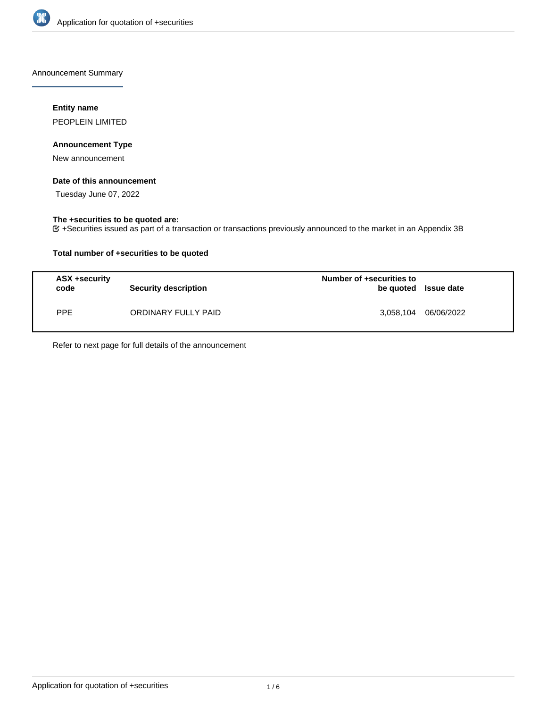

Announcement Summary

# **Entity name**

PEOPLEIN LIMITED

# **Announcement Type**

New announcement

# **Date of this announcement**

Tuesday June 07, 2022

# **The +securities to be quoted are:**

+Securities issued as part of a transaction or transactions previously announced to the market in an Appendix 3B

# **Total number of +securities to be quoted**

| ASX +security<br>code | <b>Security description</b> | Number of +securities to<br>be quoted Issue date |            |
|-----------------------|-----------------------------|--------------------------------------------------|------------|
| PPE                   | ORDINARY FULLY PAID         | 3.058.104                                        | 06/06/2022 |

Refer to next page for full details of the announcement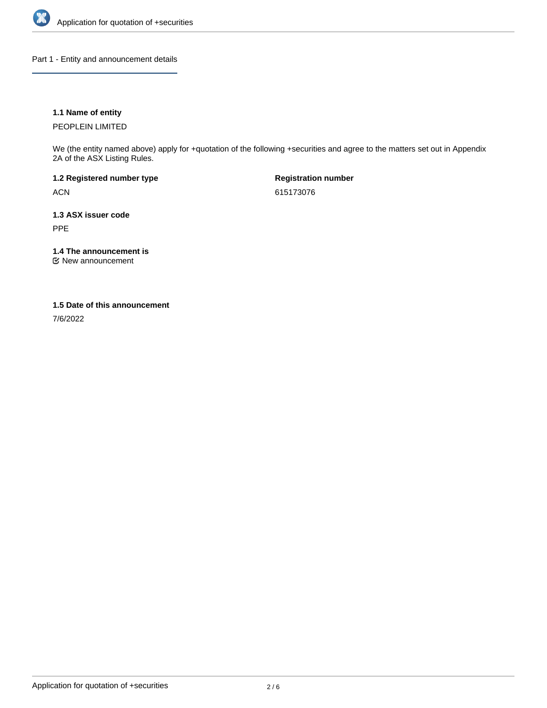

Part 1 - Entity and announcement details

# **1.1 Name of entity**

PEOPLEIN LIMITED

We (the entity named above) apply for +quotation of the following +securities and agree to the matters set out in Appendix 2A of the ASX Listing Rules.

**1.2 Registered number type** ACN

**Registration number** 615173076

**1.3 ASX issuer code** PPE

**1.4 The announcement is**

New announcement

#### **1.5 Date of this announcement**

7/6/2022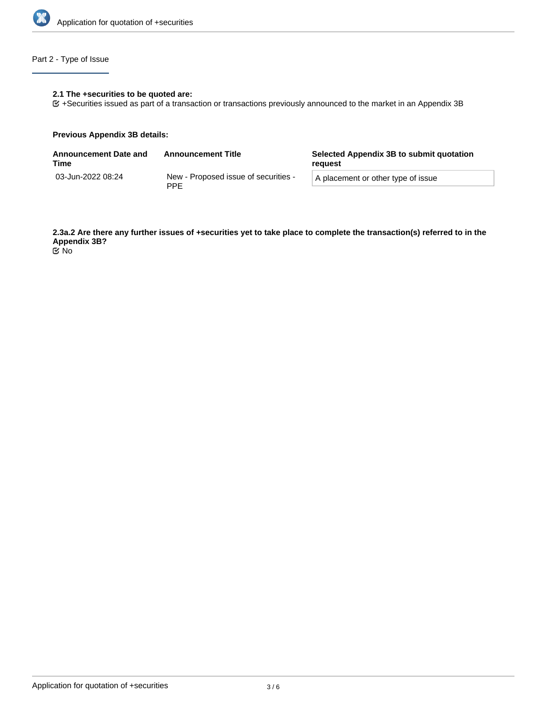

# Part 2 - Type of Issue

# **2.1 The +securities to be quoted are:**

+Securities issued as part of a transaction or transactions previously announced to the market in an Appendix 3B

#### **Previous Appendix 3B details:**

| <b>Announcement Date and</b><br>Time | <b>Announcement Title</b>                          | Selected Appendix 3B to submit quotation<br>reauest |  |
|--------------------------------------|----------------------------------------------------|-----------------------------------------------------|--|
| 03-Jun-2022 08:24                    | New - Proposed issue of securities -<br><b>PPF</b> | A placement or other type of issue                  |  |

**2.3a.2 Are there any further issues of +securities yet to take place to complete the transaction(s) referred to in the Appendix 3B?** No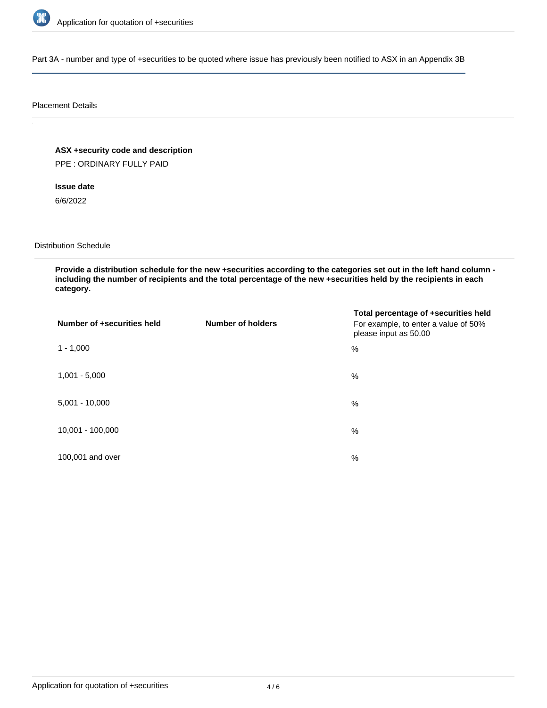

Part 3A - number and type of +securities to be quoted where issue has previously been notified to ASX in an Appendix 3B

#### Placement Details

**ASX +security code and description** PPE : ORDINARY FULLY PAID

**Issue date**

6/6/2022

Distribution Schedule

**Provide a distribution schedule for the new +securities according to the categories set out in the left hand column including the number of recipients and the total percentage of the new +securities held by the recipients in each category.**

| Number of +securities held | <b>Number of holders</b> | Total percentage of +securities held<br>For example, to enter a value of 50%<br>please input as 50.00 |
|----------------------------|--------------------------|-------------------------------------------------------------------------------------------------------|
| $1 - 1,000$                |                          | $\%$                                                                                                  |
| $1,001 - 5,000$            |                          | $\%$                                                                                                  |
| $5,001 - 10,000$           |                          | %                                                                                                     |
| 10,001 - 100,000           |                          | %                                                                                                     |
| 100,001 and over           |                          | $\%$                                                                                                  |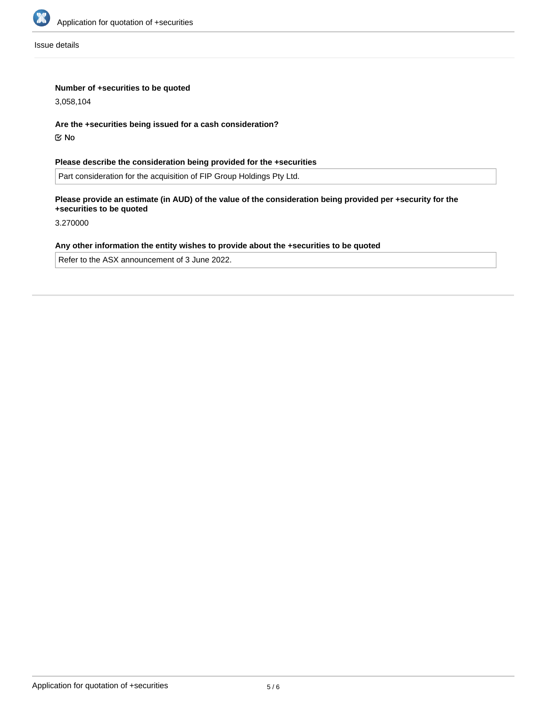

Issue details

# **Number of +securities to be quoted**

3,058,104

### **Are the +securities being issued for a cash consideration?**

No

# **Please describe the consideration being provided for the +securities**

Part consideration for the acquisition of FIP Group Holdings Pty Ltd.

# **Please provide an estimate (in AUD) of the value of the consideration being provided per +security for the +securities to be quoted**

3.270000

# **Any other information the entity wishes to provide about the +securities to be quoted**

Refer to the ASX announcement of 3 June 2022.